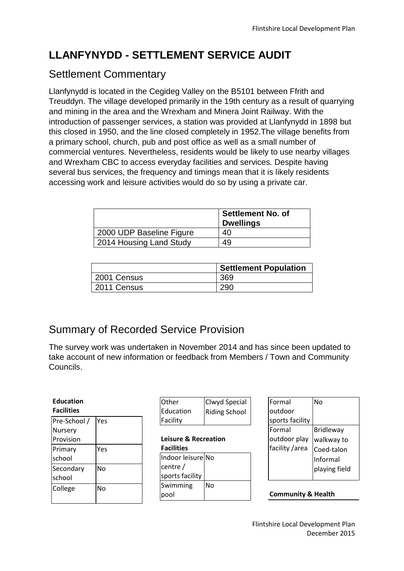# **LLANFYNYDD - SETTLEMENT SERVICE AUDIT**

## Settlement Commentary

Llanfynydd is located in the Cegideg Valley on the B5101 between Ffrith and Treuddyn. The village developed primarily in the 19th century as a result of quarrying and mining in the area and the Wrexham and Minera Joint Railway. With the introduction of passenger services, a station was provided at Llanfynydd in 1898 but this closed in 1950, and the line closed completely in 1952.The village benefits from a primary school, church, pub and post office as well as a small number of commercial ventures. Nevertheless, residents would be likely to use nearby villages and Wrexham CBC to access everyday facilities and services. Despite having several bus services, the frequency and timings mean that it is likely residents accessing work and leisure activities would do so by using a private car.

|                          | <b>Settlement No. of</b><br><b>Dwellings</b> |
|--------------------------|----------------------------------------------|
| 2000 UDP Baseline Figure | 40                                           |
| 2014 Housing Land Study  | 49                                           |

|             | <b>Settlement Population</b> |  |  |
|-------------|------------------------------|--|--|
| 2001 Census | 369                          |  |  |
| 2011 Census | 290                          |  |  |

# Summary of Recorded Service Provision

The survey work was undertaken in November 2014 and has since been updated to take account of new information or feedback from Members / Town and Community Councils.

| <b>Education</b><br><b>Facilities</b> |           | <b>Other</b><br>Education              | Clwyd Special<br><b>Riding School</b> | <b>IFormal</b><br>loutdoor     | <b>No</b>                            |
|---------------------------------------|-----------|----------------------------------------|---------------------------------------|--------------------------------|--------------------------------------|
| Pre-School /<br>Nursery               | Yes       | Facility                               |                                       | sports facility<br>lFormal     | <b>Bridleway</b>                     |
| Provision                             |           | Leisure & Recreation                   |                                       | outdoor play<br>facility /area | walkway to<br>Coed-talon<br>Informal |
| Primary<br>school                     | Yes       | <b>Facilities</b><br>Indoor leisure No |                                       |                                |                                      |
| Secondary<br>school                   | <b>No</b> | centre/<br>sports facility             |                                       |                                | playing field                        |
| College                               | <b>No</b> | Swimming<br>pool                       | <b>No</b>                             | <b>Community &amp; Health</b>  |                                      |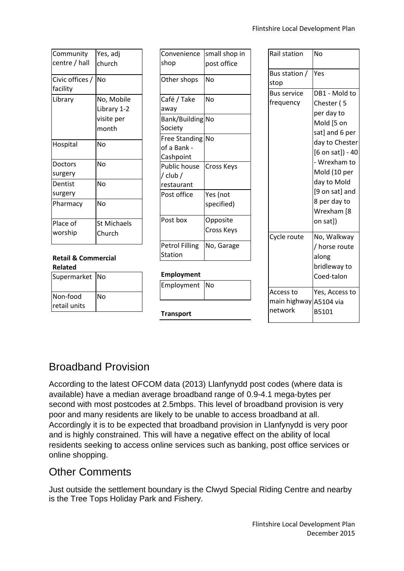| Community       | Yes, adj           |
|-----------------|--------------------|
| centre / hall   | church             |
| Civic offices / | No                 |
| facility        |                    |
| Library         | No, Mobile         |
|                 | Library 1-2        |
|                 | visite per         |
|                 | month              |
| Hospital        | No                 |
| Doctors         | No                 |
| surgery         |                    |
| Dentist         | No                 |
| surgery         |                    |
| Pharmacy        | No                 |
| Place of        | <b>St Michaels</b> |
| worship         | Church             |
|                 |                    |

#### **Retail & Commercial Related**

| Supermarket No |
|----------------|
| N٥             |
|                |
|                |

| Convenience           | small shop in |
|-----------------------|---------------|
| shop                  | post office   |
| Other shops           | N٥            |
| Café / Take           | N٥            |
| away                  |               |
| Bank/Building No      |               |
| Society               |               |
| <b>Free Standing</b>  | <b>No</b>     |
| of a Bank -           |               |
| Cashpoint             |               |
| <b>Public house</b>   | Cross Keys    |
| / club /              |               |
| restaurant            |               |
| Post office           | Yes (not      |
|                       | specified)    |
| Post box              | Opposite      |
|                       | Cross Keys    |
| <b>Petrol Filling</b> | No, Garage    |
| Station               |               |

#### **Employment**

| Employment No |  |
|---------------|--|
|               |  |

**Transport**

| Rail station                                   | No                                                                                                                                                                                                                           |
|------------------------------------------------|------------------------------------------------------------------------------------------------------------------------------------------------------------------------------------------------------------------------------|
| Bus station /<br>stop                          | Yes                                                                                                                                                                                                                          |
| <b>Bus service</b><br>frequency                | DB1 - Mold to<br>Chester (5<br>per day to<br>Mold [5 on<br>sat] and 6 per<br>day to Chester<br>$[6$ on sat]) - 40<br>- Wrexham to<br>Mold (10 per<br>day to Mold<br>[9 on sat] and<br>8 per day to<br>Wrexham [8<br>on sat]) |
| Cycle route                                    | No, Walkway<br>/ horse route<br>along<br>bridleway to<br>Coed-talon                                                                                                                                                          |
| Access to<br>main highway A5104 via<br>network | Yes, Access to<br>B5101                                                                                                                                                                                                      |

## Broadband Provision

According to the latest OFCOM data (2013) Llanfynydd post codes (where data is available) have a median average broadband range of 0.9-4.1 mega-bytes per second with most postcodes at 2.5mbps. This level of broadband provision is very poor and many residents are likely to be unable to access broadband at all. Accordingly it is to be expected that broadband provision in Llanfynydd is very poor and is highly constrained. This will have a negative effect on the ability of local residents seeking to access online services such as banking, post office services or online shopping.

### Other Comments

Just outside the settlement boundary is the Clwyd Special Riding Centre and nearby is the Tree Tops Holiday Park and Fishery.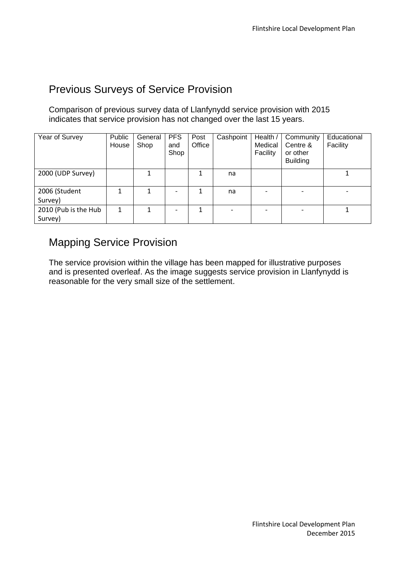### Previous Surveys of Service Provision

Comparison of previous survey data of Llanfynydd service provision with 2015 indicates that service provision has not changed over the last 15 years.

| Year of Survey                  | Public<br>House | General<br>Shop | <b>PFS</b><br>and<br>Shop | Post<br>Office | Cashpoint | Health /<br>Medical<br>Facility | Community<br>Centre &<br>or other<br><b>Building</b> | Educational<br>Facility |
|---------------------------------|-----------------|-----------------|---------------------------|----------------|-----------|---------------------------------|------------------------------------------------------|-------------------------|
| 2000 (UDP Survey)               |                 |                 |                           |                | na        |                                 |                                                      |                         |
| 2006 (Student<br>Survey)        |                 |                 | $\overline{a}$            |                | na        |                                 |                                                      |                         |
| 2010 (Pub is the Hub<br>Survey) |                 |                 |                           |                |           |                                 |                                                      |                         |

### Mapping Service Provision

The service provision within the village has been mapped for illustrative purposes and is presented overleaf. As the image suggests service provision in Llanfynydd is reasonable for the very small size of the settlement.